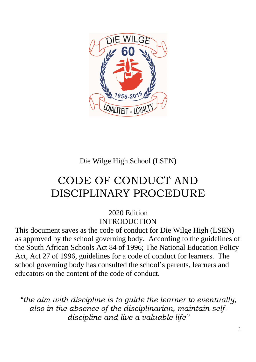

# Die Wilge High School (LSEN)

# CODE OF CONDUCT AND DISCIPLINARY PROCEDURE

2020 Edition INTRODUCTION

This document saves as the code of conduct for Die Wilge High (LSEN) as approved by the school governing body. According to the guidelines of the South African Schools Act 84 of 1996; The National Education Policy Act, Act 27 of 1996, guidelines for a code of conduct for learners. The school governing body has consulted the school's parents, learners and educators on the content of the code of conduct.

*"the aim with discipline is to guide the learner to eventually, also in the absence of the disciplinarian, maintain selfdiscipline and live a valuable life"*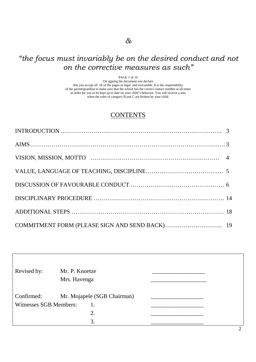# *"the focus must invariably be on the desired conduct and not on the corrective measures as such"*

PAGE 1 of 19

On signing the document you declare that you accept all 16 of the pages as legal and executable. It is the responsibility of the parent/guardian to make sure that the school has the correct contact number at all times in order for you to be kept up to date on your child's behavior. You will receive a sms when the rules of category B and C are broken by your child.

# **CONTENTS**

| INTRODUCTION $\ldots$ $\ldots$ $\ldots$ $\ldots$ $\ldots$ $\ldots$ $\ldots$ $\ldots$ $\ldots$ $\ldots$ $\ldots$ $\ldots$ $\ldots$ $\ldots$ $\ldots$ $\ldots$ $\ldots$ $\ldots$ $\ldots$ $\ldots$ $\ldots$ $\ldots$ $\ldots$ $\ldots$ $\ldots$ $\ldots$ $\ldots$ $\ldots$ $\ldots$ $\ldots$ $\ldots$ $\ldots$ $\ldots$ $\ldots$ $\ldots$ |  |
|-----------------------------------------------------------------------------------------------------------------------------------------------------------------------------------------------------------------------------------------------------------------------------------------------------------------------------------------|--|
|                                                                                                                                                                                                                                                                                                                                         |  |
|                                                                                                                                                                                                                                                                                                                                         |  |
|                                                                                                                                                                                                                                                                                                                                         |  |
|                                                                                                                                                                                                                                                                                                                                         |  |
|                                                                                                                                                                                                                                                                                                                                         |  |
|                                                                                                                                                                                                                                                                                                                                         |  |
|                                                                                                                                                                                                                                                                                                                                         |  |

| Revised by:            | Mr. P. Knoetze |                             |   |
|------------------------|----------------|-----------------------------|---|
|                        | Mrs. Havenga   |                             |   |
| Confirmed:             |                | Mr. Mojapele (SGB Chairman) |   |
| Witnesses SGB Members: |                | 1.                          |   |
|                        |                | 2.                          |   |
|                        |                | 3.                          |   |
|                        |                |                             | ∍ |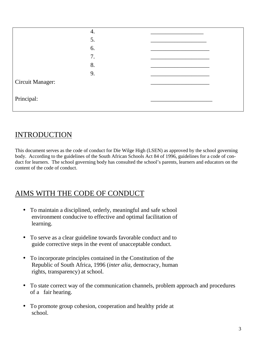| 4. |  |
|----|--|
| 5. |  |
| 6. |  |
| 7. |  |
| 8. |  |
| 9. |  |
|    |  |
|    |  |
|    |  |

# **INTRODUCTION**

This document serves as the code of conduct for Die Wilge High (LSEN) as approved by the school governing body. According to the guidelines of the South African Schools Act 84 of 1996, guidelines for a code of conduct for learners. The school governing body has consulted the school's parents, learners and educators on the content of the code of conduct.

# AIMS WITH THE CODE OF CONDUCT

- To maintain a disciplined, orderly, meaningful and safe school environment conducive to effective and optimal facilitation of learning.
- To serve as a clear guideline towards favorable conduct and to guide corrective steps in the event of unacceptable conduct.
- To incorporate principles contained in the Constitution of the Republic of South Africa, 1996 (*inter alia*, democracy, human rights, transparency) at school.
- To state correct way of the communication channels, problem approach and procedures of a fair hearing.
- To promote group cohesion, cooperation and healthy pride at school.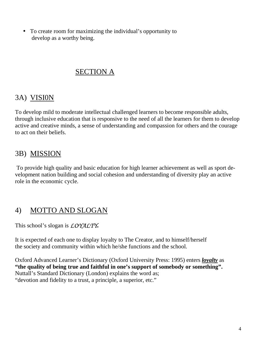• To create room for maximizing the individual's opportunity to develop as a worthy being.

# SECTION A

# 3A) VISI0N

To develop mild to moderate intellectual challenged learners to become responsible adults, through inclusive education that is responsive to the need of all the learners for them to develop active and creative minds, a sense of understanding and compassion for others and the courage to act on their beliefs.

# 3B) MISSION

To provide high quality and basic education for high learner achievement as well as sport development nation building and social cohesion and understanding of diversity play an active role in the economic cycle.

# 4) MOTTO AND SLOGAN

This school's slogan is *LOYALTY***.**

It is expected of each one to display loyalty to The Creator, and to himself/herself the society and community within which he/she functions and the school.

Oxford Advanced Learner's Dictionary (Oxford University Press: 1995) enters *loyalty* as **"the quality of being true and faithful in one's support of somebody or something".**  Nuttall's Standard Dictionary (London) explains the word as; "devotion and fidelity to a trust, a principle, a superior, etc."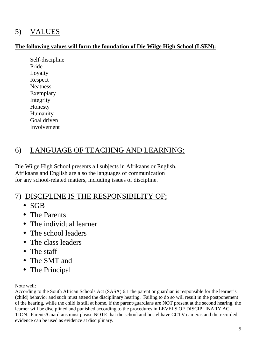# 5) VALUES

### **The following values will form the foundation of Die Wilge High School (LSEN):**

Self-discipline Pride Loyalty Respect Neatness Exemplary Integrity Honesty Humanity Goal driven Involvement

# 6) LANGUAGE OF TEACHING AND LEARNING:

Die Wilge High School presents all subjects in Afrikaans or English. Afrikaans and English are also the languages of communication for any school-related matters, including issues of discipline.

# 7) DISCIPLINE IS THE RESPONSIBILITY OF;

- SGB
- The Parents
- The individual learner
- The school leaders
- The class leaders
- The staff
- The SMT and
- The Principal

Note well:

According to the South African Schools Act (SASA) 6.1 the parent or guardian is responsible for the learner's (child) behavior and such must attend the disciplinary hearing. Failing to do so will result in the postponement of the hearing, while the child is still at home, if the parent/guardians are NOT present at the second hearing, the learner will be disciplined and punished according to the procedures in LEVELS OF DISCIPLINARY AC-TION. Parents/Guardians must please NOTE that the school and hostel have CCTV cameras and the recorded evidence can be used as evidence at disciplinary.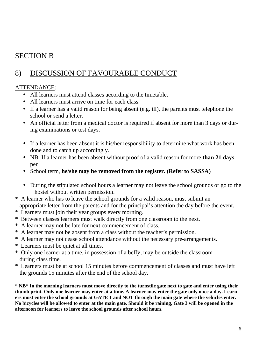# SECTION B

# 8) DISCUSSION OF FAVOURABLE CONDUCT

# ATTENDANCE:

- All learners must attend classes according to the timetable.
- All learners must arrive on time for each class.
- If a learner has a valid reason for being absent (e.g. ill), the parents must telephone the school or send a letter.
- An official letter from a medical doctor is required if absent for more than 3 days or during examinations or test days.
- If a learner has been absent it is his/her responsibility to determine what work has been done and to catch up accordingly.
- NB: If a learner has been absent without proof of a valid reason for more **than 21 days** per
- School term, **he/she may be removed from the register. (Refer to SASSA)**
- During the stipulated school hours a learner may not leave the school grounds or go to the hostel without written permission.
- \* A learner who has to leave the school grounds for a valid reason, must submit an appropriate letter from the parents and for the principal's attention the day before the event.
- \* Learners must join their year groups every morning.
- \* Between classes learners must walk directly from one classroom to the next.
- \* A learner may not be late for next commencement of class.
- \* A learner may not be absent from a class without the teacher's permission.
- \* A learner may not cease school attendance without the necessary pre-arrangements.
- \* Learners must be quiet at all times.
- \* Only one learner at a time, in possession of a beffy, may be outside the classroom during class time.
- \* Learners must be at school 15 minutes before commencement of classes and must have left the grounds 15 minutes after the end of the school day.

\* **NB\* In the morning learners must move directly to the turnstile gate next to gate and enter using their thumb print. Only one learner may enter at a time. A learner may enter the gate only once a day. Learners must enter the school grounds at GATE 1 and NOT through the main gate where the vehicles enter. No bicycles will be allowed to enter at the main gate. Should it be raining, Gate 3 will be opened in the afternoon for learners to leave the school grounds after school hours.**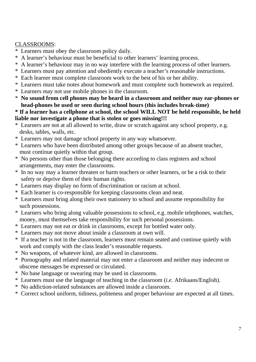### CLASSROOMS:

- \* Learners must obey the classroom policy daily.
- \* A learner's behaviour must be beneficial to other learners' learning process.
- \* A learner's behaviour may in no way interfere with the learning process of other learners.
- \* Learners must pay attention and obediently execute a teacher's reasonable instructions.
- \* Each learner must complete classroom work to the best of his or her ability.
- \* Learners must take notes about homework and must complete such homework as required.
- \* Learners may not use mobile phones in the classroom.
- \* **No sound from cell phones may be heard in a classroom and neither may ear-phones or head-phones be used or seen during school hours (this includes break-time)**

#### **\* If a learner has a cellphone at school, the school WILL NOT be held responsible, be held liable nor investigate a phone that is stolen or goes missing!!!**

- \* Learners are not at all allowed to write, draw or scratch against any school property, e.g. desks, tables, walls, etc.
- \* Learners may not damage school property in any way whatsoever.
- \* Learners who have been distributed among other groups because of an absent teacher, must continue quietly within that group.
- \* No persons other than those belonging there according to class registers and school arrangements, may enter the classrooms.
- \* In no way may a learner threaten or harm teachers or other learners, or be a risk to their safety or deprive them of their human rights.
- \* Learners may display no form of discrimination or racism at school.
- \* Each learner is co-responsible for keeping classrooms clean and neat.
- \* Learners must bring along their own stationery to school and assume responsibility for such possessions.
- \* Learners who bring along valuable possessions to school, e.g. mobile telephones, watches, money, must themselves take responsibility for such personal possessions.
- \* Learners may not eat or drink in classrooms, except for bottled water only.
- \* Learners may not move about inside a classroom at own will.
- \* If a teacher is not in the classroom, learners must remain seated and continue quietly with work and comply with the class leader's reasonable requests.
- \* No weapons, of whatever kind, are allowed in classrooms.
- \* Pornography and related material may not enter a classroom and neither may indecent or obscene messages be expressed or circulated.
- \* No base language or swearing may be used in classrooms.
- \* Learners must use the language of teaching in the classroom (*i.e.* Afrikaans/English).
- \* No addiction-related substances are allowed inside a classroom.
- \* Correct school uniform, tidiness, politeness and proper behaviour are expected at all times.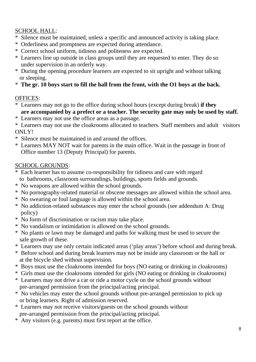# SCHOOL HALL:

- Silence must be maintained, unless a specific and announced activity is taking place.
- \* Orderliness and promptness are expected during attendance.
- \* Correct school uniform, tidiness and politeness are expected.
- \* Learners line up outside in class groups until they are requested to enter. They do so under supervision in an orderly way.
- \* During the opening procedure learners are expected to sit upright and without talking or sleeping.
- \* **The gr. 10 boys start to fill the hall from the front, with the O1 boys at the back.**

# OFFICES:

- \* Learners may not go to the office during school hours (except during break) **if they are accompanied by a prefect or a teacher. The security gate may only be used by staff.**
- \* Learners may not use the office areas as a passage.

\* Learners may not use the cloakrooms allocated to teachers. Staff members and adult visitors ONLY!

- \* Silence must be maintained in and around the offices.
- \* Learners MAY NOT wait for parents in the main office. Wait in the passage in front of Office number 13 (Deputy Principal) for parents.

# SCHOOL GROUNDS:

- \* Each learner has to assume co-responsibility for tidiness and care with regard to bathrooms, classroom surroundings, buildings, sports fields and grounds.
- \* No weapons are allowed within the school grounds.
- \* No pornography-related material or obscene messages are allowed within the school area.
- \* No swearing or foul language is allowed within the school area.
- \* No addiction-related substances may enter the school grounds (see addendum A: Drug policy)
- \* No form of discrimination or racism may take place.
- \* No vandalism or intimidation is allowed on the school grounds.
- \* No plants or lawn may be damaged and paths for walking must be used to secure the safe growth of these.
- \* Learners may use only certain indicated areas ('play areas') before school and during break.
- \* Before school and during break learners may not be inside any classroom or the hall or at the bicycle shed without supervision.
- \* Boys must use the cloakrooms intended for boys (NO eating or drinking in cloakrooms)
- \* Girls must use the cloakrooms intended for girls (NO eating or drinking in cloakrooms)
- \* Learners may not drive a car or ride a motor cycle on the school grounds without pre-arranged permission from the principal/acting principal.
- \* No vehicles may enter the school grounds without pre-arranged permission to pick up or bring learners. Right of admission reserved.
- \* Learners may not receive visitors/guests on the school grounds without pre-arranged permission from the principal/acting principal.
- \* Any visitors (e.g. parents) must first report at the office.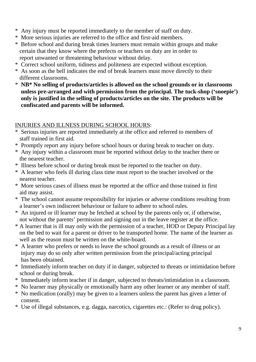- \* Any injury must be reported immediately to the member of staff on duty.
- \* More serious injuries are referred to the office and first-aid members.
- \* Before school and during break times learners must remain within groups and make certain that they know where the prefects or teachers on duty are in order to report unwanted or threatening behaviour without delay.
- \* Correct school uniform, tidiness and politeness are expected without exception.
- \* As soon as the bell indicates the end of break learners must move directly to their different classrooms.
- \* **NB\* No selling of products/articles is allowed on the school grounds or in classrooms unless pre-arranged and with permission from the principal. The tuck-shop ('snoepie') only is justified in the selling of products/articles on the site. The products will be confiscated and parents will be informed.**

# INJURIES AND ILLNESS DURING SCHOOL HOURS:

- \* Serious injuries are reported immediately at the office and referred to members of staff trained in first aid.
- \* Promptly report any injury before school hours or during break to teacher on duty.
- \* Any injury within a classroom must be reported without delay to the teacher there or the nearest teacher.
- \* Illness before school or during break must be reported to the teacher on duty.
- \* A learner who feels ill during class time must report to the teacher involved or the nearest teacher.
- \* More serious cases of illness must be reported at the office and those trained in first aid may assist.
- \* The school cannot assume responsibility for injuries or adverse conditions resulting from a learner's own indiscreet behaviour or failure to adhere to school rules.
- \* An injured or ill learner may be fetched at school by the parents only or, if otherwise, not without the parents' permission and signing out in the leave register at the office.
- \* A learner that is ill may only with the permission of a teacher, HOD or Deputy Principal lay on the bed to wait for a parent or driver to be transported home. The name of the learner as well as the reason must be written on the white-board.
- \* A learner who prefers or needs to leave the school grounds as a result of illness or an injury may do so only after written permission from the principal/acting principal has been obtained.
- \* Immediately inform teacher on duty if in danger, subjected to threats or intimidation before school or during break.
- \* Immediately inform teacher if in danger, subjected to threats/intimidation in a classroom.
- \* No learner may physically or emotionally harm any other learner or any member of staff.
- \* No medication (orally) may be given to a learners unless the parent has given a letter of consent.
- \* Use of illegal substances, e.g. dagga, narcotics, cigarettes etc.: (Refer to drug policy).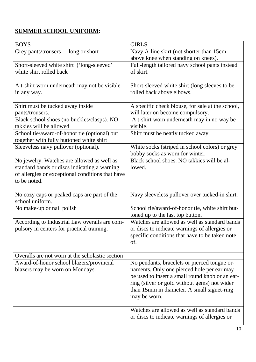# **SUMMER SCHOOL UNIFORM:**

| <b>BOYS</b>                                                                                      | <b>GIRLS</b>                                                               |  |
|--------------------------------------------------------------------------------------------------|----------------------------------------------------------------------------|--|
| Grey pants/trousers - long or short                                                              | Navy A-line skirt (not shorter than 15cm                                   |  |
|                                                                                                  | above knee when standing on knees).                                        |  |
| Short-sleeved white shirt ('long-sleeved'                                                        | Full-length tailored navy school pants instead                             |  |
| white shirt rolled back                                                                          | of skirt.                                                                  |  |
|                                                                                                  |                                                                            |  |
| A t-shirt worn underneath may not be visible                                                     | Short-sleeved white shirt (long sleeves to be<br>rolled back above elbows. |  |
| in any way.                                                                                      |                                                                            |  |
| Shirt must be tucked away inside                                                                 | A specific check blouse, for sale at the school,                           |  |
| pants/trousers.                                                                                  | will later on become compulsory.                                           |  |
| Black school shoes (no buckles/clasps). NO                                                       | A t-shirt worn underneath may in no way be                                 |  |
| takkies will be allowed.                                                                         | visible.                                                                   |  |
| School tie/award-of-honor tie (optional) but                                                     | Shirt must be neatly tucked away.                                          |  |
| together with fully buttoned white shirt                                                         |                                                                            |  |
| Sleeveless navy pullover (optional).                                                             | White socks (striped in school colors) or grey                             |  |
|                                                                                                  | bobby socks as worn for winter.                                            |  |
| No jewelry. Watches are allowed as well as                                                       | Black school shoes. NO takkies will be al-                                 |  |
| standard bands or discs indicating a warning<br>of allergies or exceptional conditions that have | lowed.                                                                     |  |
| to be noted.                                                                                     |                                                                            |  |
|                                                                                                  |                                                                            |  |
| No cozy caps or peaked caps are part of the                                                      | Navy sleeveless pullover over tucked-in shirt.                             |  |
| school uniform.                                                                                  |                                                                            |  |
| No make-up or nail polish                                                                        | School tie/award-of-honor tie, white shirt but-                            |  |
|                                                                                                  | toned up to the last top button.                                           |  |
| According to Industrial Law overalls are com-                                                    | Watches are allowed as well as standard bands                              |  |
| pulsory in centers for practical training.                                                       | or discs to indicate warnings of allergies or                              |  |
|                                                                                                  | specific conditions that have to be taken note                             |  |
|                                                                                                  | of.                                                                        |  |
| Overalls are not worn at the scholastic section                                                  |                                                                            |  |
| Award-of-honor school blazers/provincial                                                         | No pendants, bracelets or pierced tongue or-                               |  |
| blazers may be worn on Mondays.                                                                  | naments. Only one pierced hole per ear may                                 |  |
|                                                                                                  | be used to insert a small round knob or an ear-                            |  |
|                                                                                                  | ring (silver or gold without gems) not wider                               |  |
|                                                                                                  | than 15mm in diameter. A small signet-ring                                 |  |
|                                                                                                  | may be worn.                                                               |  |
|                                                                                                  |                                                                            |  |
|                                                                                                  | Watches are allowed as well as standard bands                              |  |
|                                                                                                  | or discs to indicate warnings of allergies or                              |  |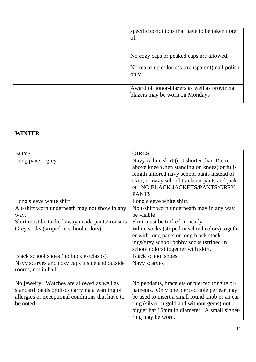| specific conditions that have to be taken note<br>of.                          |
|--------------------------------------------------------------------------------|
| No cozy caps or peaked caps are allowed.                                       |
| No make-up colorless (transparent) nail polish<br>only                         |
| Award of honor-blazers as well as provincial<br>blazers may be worn on Mondays |

# **WINTER**

| <b>BOYS</b>                                      | <b>GIRLS</b>                                    |  |
|--------------------------------------------------|-------------------------------------------------|--|
| Long pants - grey                                | Navy A-line skirt (not shorter than 15cm)       |  |
|                                                  | above knee when standing on knees) or full-     |  |
|                                                  | length tailored navy school pants instead of    |  |
|                                                  | skirt, or navy school tracksuit pants and jack- |  |
|                                                  | et. NO BLACK JACKETS/PANTS/GREY                 |  |
|                                                  | <b>PANTS</b>                                    |  |
| Long sleeve white shirt                          | Long sleeve white shirt.                        |  |
| A t-shirt worn underneath may not show in any    | No t-shirt worn underneath may in any way       |  |
| way.                                             | be visible                                      |  |
| Shirt must be tucked away inside pants/trousers  | Shirt must be tucked in neatly                  |  |
| Grey socks (striped in school colors)            | White socks (striped in school colors) togeth-  |  |
|                                                  | er with long pants or long black stock-         |  |
|                                                  | ings/grey school bobby socks (striped in        |  |
|                                                  | school colors) together with skirt.             |  |
| Black school shoes (no buckles/clasps).          | <b>Black school shoes</b>                       |  |
| Navy scarves and cozy caps inside and outside    | Navy scarves                                    |  |
| rooms, not in hall.                              |                                                 |  |
|                                                  |                                                 |  |
| No jewelry. Watches are allowed as well as       | No pendants, bracelets or pierced tongue or-    |  |
| standard bands or discs carrying a warning of    | naments. Only one pierced hole per ear may      |  |
| allergies or exceptional conditions that have to | be used to insert a small round knob or an ear- |  |
| be noted                                         | ring (silver or gold and without gems) not      |  |
|                                                  | bigger hat 15mm in diameter. A small signet-    |  |
|                                                  | ring may be worn.                               |  |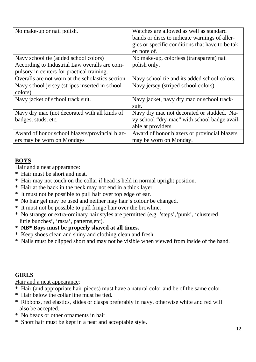| No make-up or nail polish.                                                                                                           | Watches are allowed as well as standard<br>bands or discs to indicate warnings of aller-<br>gies or specific conditions that have to be tak-<br>en note of. |
|--------------------------------------------------------------------------------------------------------------------------------------|-------------------------------------------------------------------------------------------------------------------------------------------------------------|
| Navy school tie (added school colors)<br>According to Industrial Law overalls are com-<br>pulsory in centers for practical training. | No make-up, colorless (transparent) nail<br>polish only.                                                                                                    |
| Overalls are not worn at the scholastics section                                                                                     | Navy school tie and its added school colors.                                                                                                                |
| Navy school jersey (stripes inserted in school<br>colors)                                                                            | Navy jersey (striped school colors)                                                                                                                         |
| Navy jacket of school track suit.                                                                                                    | Navy jacket, navy dry mac or school track-<br>suit.                                                                                                         |
| Navy dry mac (not decorated with all kinds of<br>badges, studs, etc.                                                                 | Navy dry mac not decorated or studded. Na-<br>vy school "dry-mac" with school badge avail-<br>able at providers                                             |
| Award of honor school blazers/provincial blaz-<br>ers may be worn on Mondays                                                         | Award of honor blazers or provincial blazers<br>may be worn on Monday.                                                                                      |

# **BOYS**

Hair and a neat appearance:

- \* Hair must be short and neat.
- \* Hair may not touch on the collar if head is held in normal upright position.
- \* Hair at the back in the neck may not end in a thick layer.
- \* It must not be possible to pull hair over top edge of ear.
- \* No hair gel may be used and neither may hair's colour be changed.
- \* It must not be possible to pull fringe hair over the browline.
- \* No strange or extra-ordinary hair styles are permitted (e.g. 'steps','punk', 'clustered little bunches', 'rasta', patterns,etc).
- \* **NB\* Boys must be properly shaved at all times.**
- \* Keep shoes clean and shiny and clothing clean and fresh.
- \* Nails must be clipped short and may not be visible when viewed from inside of the hand.

# **GIRLS**

Hair and a neat appearance:

- \* Hair (and appropriate hair-pieces) must have a natural color and be of the same color.
- \* Hair below the collar line must be tied.
- \* Ribbons, red elastics, slides or clasps preferably in navy, otherwise white and red will also be accepted.
- \* No beads or other ornaments in hair.
- \* Short hair must be kept in a neat and acceptable style.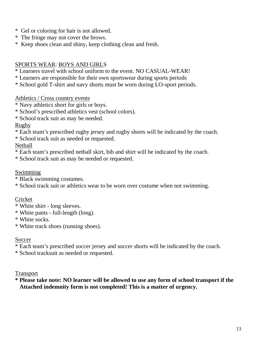- \* Gel or coloring for hair is not allowed.
- \* The fringe may not cover the brows.
- \* Keep shoes clean and shiny, keep clothing clean and fresh.

#### SPORTS WEAR: BOYS AND GIRLS

- \* Learners travel with school uniform to the event. NO CASUAL-WEAR!
- \* Learners are responsible for their own sportswear during sports periods
- \* School gold T-shirt and navy shorts must be worn during LO-sport periods.

Athletics / Cross country events

- \* Navy athletics short for girls or boys.
- \* School's prescribed athletics vest (school colors).
- \* School track suit as may be needed.

#### Rugby

- \* Each team's prescribed rugby jersey and rugby shorts will be indicated by the coach.
- \* School track suit as needed or requested.

#### Netball

- \* Each team's prescribed netball skirt, bib and shirt will be indicated by the coach.
- \* School track suit as may be needed or requested.

#### Swimming

- \* Black swimming costumes.
- \* School track suit or athletics wear to be worn over costume when not swimming.

#### Cricket

- \* White shirt long sleeves.
- \* White pants full-length (long).
- \* White socks.
- \* White track shoes (running shoes).

#### Soccer

- \* Each team's prescribed soccer jersey and soccer shorts will be indicated by the coach.
- \* School tracksuit as needed or requested.

#### Transport

**\* Please take note: NO learner will be allowed to use any form of school transport if the Attached indemnity form is not completed! This is a matter of urgency.**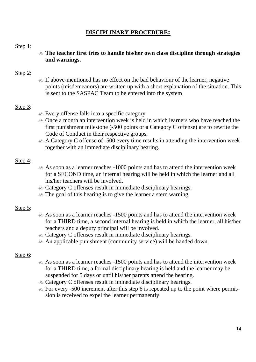# **DISCIPLINARY PROCEDURE:**

#### Step 1:

- **The teacher first tries to handle his/her own class discipline through strategies and warnings.** 

#### Step 2:

- If above-mentioned has no effect on the bad behaviour of the learner, negative points (misdemeanors) are written up with a short explanation of the situation. This is sent to the SASPAC Team to be entered into the system

#### Step 3:

- Every offense falls into a specific category
- Once a month an intervention week is held in which learners who have reached the first punishment milestone (-500 points or a Category C offense) are to rewrite the Code of Conduct in their respective groups.
- A Category C offense of -500 every time results in attending the intervention week together with an immediate disciplinary hearing.

#### Step 4:

- As soon as a learner reaches -1000 points and has to attend the intervention week for a SECOND time, an internal hearing will be held in which the learner and all his/her teachers will be involved.
- Category C offenses result in immediate disciplinary hearings.
- $\bullet$  The goal of this hearing is to give the learner a stern warning.

#### Step 5:

- As soon as a learner reaches -1500 points and has to attend the intervention week for a THIRD time, a second internal hearing is held in which the learner, all his/her teachers and a deputy principal will be involved.
- Category C offenses result in immediate disciplinary hearings.
- An applicable punishment (community service) will be handed down.

#### Step 6:

- As soon as a learner reaches -1500 points and has to attend the intervention week for a THIRD time, a formal disciplinary hearing is held and the learner may be suspended for 5 days or until his/her parents attend the hearing.
- & Category C offenses result in immediate disciplinary hearings.
- $\text{F}$  For every -500 increment after this step 6 is repeated up to the point where permission is received to expel the learner permanently.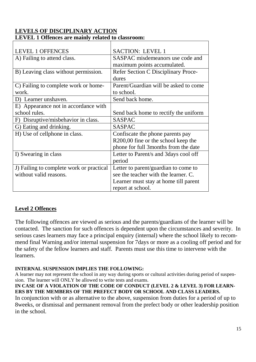| <b>LEVEL 1 OFFENCES</b>                  | <b>SACTION: LEVEL 1</b>                    |
|------------------------------------------|--------------------------------------------|
| A) Failing to attend class.              | SASPAC misdemeanors use code and           |
|                                          | maximum points accumulated.                |
| B) Leaving class without permission.     | <b>Refer Section C Disciplinary Proce-</b> |
|                                          | dures                                      |
| C) Failing to complete work or home-     | Parent/Guardian will be asked to come      |
| work.                                    | to school.                                 |
| D) Learner unshaven.                     | Send back home.                            |
| E) Appearance not in accordance with     |                                            |
| school rules.                            | Send back home to rectify the uniform      |
| F) Disruptive/misbehavior in class.      | <b>SASPAC</b>                              |
| G) Eating and drinking.                  | <b>SASPAC</b>                              |
| H) Use of cellphone in class.            | Confiscate the phone parents pay           |
|                                          | R200,00 fine or the school keep the        |
|                                          | phone for full 3 months from the date      |
| I) Swearing in class                     | Letter to Parent/s and 3days cool off      |
|                                          | period                                     |
| J) Failing to complete work or practical | Letter to parent/guardian to come to       |
| without valid reasons.                   | see the teacher with the learner. C.       |
|                                          | Learner must stay at home till parent      |
|                                          | report at school.                          |

#### **LEVELS OF DISCIPLINARY ACTION LEVEL 1 Offences are mainly related to classroom:**

### **Level 2 Offences**

The following offences are viewed as serious and the parents/guardians of the learner will be contacted. The sanction for such offences is dependent upon the circumstances and severity. In serious cases learners may face a principal enquiry (internal) where the school likely to recommend final Warning and/or internal suspension for 7days or more as a cooling off period and for the safety of the fellow learners and staff. Parents must use this time to intervene with the learners.

#### **INTERNAL SUSPENSION IMPLIES THE FOLLOWING:**

A learner may not represent the school in any way during sports or cultural activities during period of suspension. The learner will ONLY be allowed to write tests and exams.

#### **IN CASE OF A VIOLATION OF THE CODE OF CONDUCT (LEVEL 2 & LEVEL 3) FOR LEARN-ERS BY THE MEMBERS OF THE PREFECT BODY OR SCHOOL AND CLASS LEADERS.**

In conjunction with or as alternative to the above, suspension from duties for a period of up to 8weeks, or dismissal and permanent removal from the prefect body or other leadership position in the school.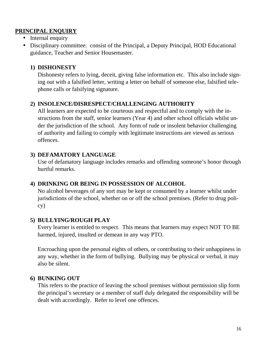### **PRINCIPAL ENQUIRY**

- Internal enquiry
- Disciplinary committee: consist of the Principal, a Deputy Principal, HOD Educational guidance, Teacher and Senior Housemaster.

### **1) DISHONESTY**

Dishonesty refers to lying, deceit, giving false information etc. This also include signing out with a falsified letter, writing a letter on behalf of someone else, falsified telephone calls or falsifying signature.

### **2) INSOLENCE/DISRESPECT/CHALLENGING AUTHORITY**

All learners are expected to be courteous and respectful and to comply with the instructions from the staff, senior learners (Year 4) and other school officials whilst under the jurisdiction of the school. Any form of rude or insolent behavior challenging of authority and failing to comply with legitimate instructions are viewed as serious offences.

### **3) DEFAMATORY LANGUAGE**

Use of defamatory language includes remarks and offending someone's honor through hurtful remarks.

### **4) DRINKING OR BEING IN POSSESSION OF ALCOHOL**

No alcohol beverages of any sort may be kept or consumed by a learner whilst under jurisdictions of the school, whether on or off the school premises. (Refer to drug policy)

#### **5) BULLYING/ROUGH PLAY**

Every learner is entitled to respect. This means that learners may expect NOT TO BE harmed, injured, insulted or demean in any way PTO.

Encroaching upon the personal eights of others, or contributing to their unhappiness in any way, whether in the form of bullying. Bullying may be physical or verbal, it may also be silent.

### **6) BUNKING OUT**

This refers to the practice of leaving the school premises without permission slip form the principal's secretary or a member of staff duly delegated the responsibility will be dealt with accordingly. Refer to level one offences.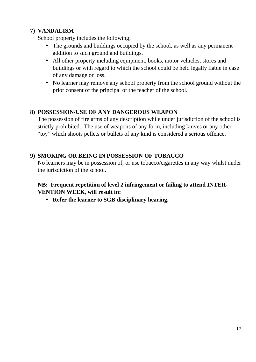# **7) VANDALISM**

School property includes the following;

- The grounds and buildings occupied by the school, as well as any permanent addition to such ground and buildings.
- All other property including equipment, books, motor vehicles, stores and buildings or with regard to which the school could be held legally liable in case of any damage or loss.
- No learner may remove any school property from the school ground without the prior consent of the principal or the teacher of the school.

### **8) POSSESSION/USE OF ANY DANGEROUS WEAPON**

The possession of fire arms of any description while under jurisdiction of the school is strictly prohibited. The use of weapons of any form, including knives or any other "toy" which shoots pellets or bullets of any kind is considered a serious offence.

# **9) SMOKING OR BEING IN POSSESSION OF TOBACCO**

No learners may be in possession of, or use tobacco/cigarettes in any way whilst under the jurisdiction of the school.

# **NB: Frequent repetition of level 2 infringement or failing to attend INTER-VENTION WEEK, will result in:**

• **Refer the learner to SGB disciplinary hearing.**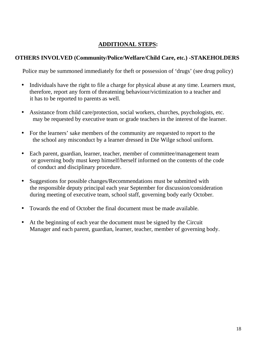# **ADDITIONAL STEPS:**

# **OTHERS INVOLVED (Community/Police/Welfare/Child Care, etc.) -STAKEHOLDERS**

Police may be summoned immediately for theft or possession of 'drugs' (see drug policy)

- Individuals have the right to file a charge for physical abuse at any time. Learners must, therefore, report any form of threatening behaviour/victimization to a teacher and it has to be reported to parents as well.
- Assistance from child care/protection, social workers, churches, psychologists, etc. may be requested by executive team or grade teachers in the interest of the learner.
- For the learners' sake members of the community are requested to report to the the school any misconduct by a learner dressed in Die Wilge school uniform.
- Each parent, guardian, learner, teacher, member of committee/management team or governing body must keep himself/herself informed on the contents of the code of conduct and disciplinary procedure.
- Suggestions for possible changes/Recommendations must be submitted with the responsible deputy principal each year September for discussion/consideration during meeting of executive team, school staff, governing body early October.
- Towards the end of October the final document must be made available.
- At the beginning of each year the document must be signed by the Circuit Manager and each parent, guardian, learner, teacher, member of governing body.